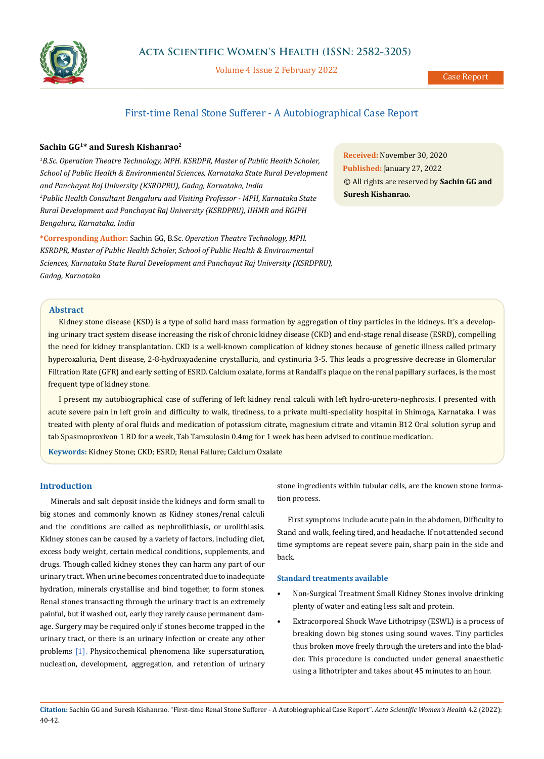

Volume 4 Issue 2 February 2022

# First-time Renal Stone Sufferer - A Autobiographical Case Report

# **Sachin GG1\* and Suresh Kishanrao2**

<sup>1</sup>B.Sc. Operation Theatre Technology, MPH. KSRDPR, Master of Public Health Scholer, *School of Public Health & Environmental Sciences, Karnataka State Rural Development and Panchayat Raj University (KSRDPRU), Gadag, Karnataka, India 2 Public Health Consultant Bengaluru and Visiting Professor - MPH, Karnataka State Rural Development and Panchayat Raj University (KSRDPRU), IIHMR and RGIPH Bengaluru, Karnataka, India*

**\*Corresponding Author:** Sachin GG, B.Sc. *Operation Theatre Technology, MPH. KSRDPR, Master of Public Health Scholer, School of Public Health & Environmental Sciences, Karnataka State Rural Development and Panchayat Raj University (KSRDPRU), Gadag, Karnataka*

**Received:** November 30, 2020 **Published:** January 27, 2022 © All rights are reserved by **Sachin GG and Suresh Kishanrao***.*

# **Abstract**

Kidney stone disease (KSD) is a type of solid hard mass formation by aggregation of tiny particles in the kidneys. It's a developing urinary tract system disease increasing the risk of chronic kidney disease (CKD) and end-stage renal disease (ESRD), compelling the need for kidney transplantation. CKD is a well-known complication of kidney stones because of genetic illness called primary hyperoxaluria, Dent disease, 2-8-hydroxyadenine crystalluria, and cystinuria 3-5. This leads a progressive decrease in Glomerular Filtration Rate (GFR) and early setting of ESRD. Calcium oxalate, forms at Randall's plaque on the renal papillary surfaces, is the most frequent type of kidney stone.

I present my autobiographical case of suffering of left kidney renal calculi with left hydro-uretero-nephrosis. I presented with acute severe pain in left groin and difficulty to walk, tiredness, to a private multi-speciality hospital in Shimoga, Karnataka. I was treated with plenty of oral fluids and medication of potassium citrate, magnesium citrate and vitamin B12 Oral solution syrup and tab Spasmoproxivon 1 BD for a week, Tab Tamsulosin 0.4mg for 1 week has been advised to continue medication.

**Keywords:** Kidney Stone; CKD; ESRD; Renal Failure; Calcium Oxalate

## **Introduction**

Minerals and salt deposit inside the kidneys and form small to big stones and commonly known as Kidney stones/renal calculi and the conditions are called as nephrolithiasis, or urolithiasis. Kidney stones can be caused by a variety of factors, including diet, excess body weight, certain medical conditions, supplements, and drugs. Though called kidney stones they can harm any part of our urinary tract. When urine becomes concentrated due to inadequate hydration, minerals crystallise and bind together, to form stones. Renal stones transacting through the urinary tract is an extremely painful, but if washed out, early they rarely cause permanent damage. Surgery may be required only if stones become trapped in the urinary tract, or there is an urinary infection or create any other problems [1]. Physicochemical phenomena like supersaturation, nucleation, development, aggregation, and retention of urinary stone ingredients within tubular cells, are the known stone formation process.

First symptoms include acute pain in the abdomen, Difficulty to Stand and walk, feeling tired, and headache. If not attended second time symptoms are repeat severe pain, sharp pain in the side and back.

#### **Standard treatments available**

- Non-Surgical Treatment Small Kidney Stones involve drinking plenty of water and eating less salt and protein.
- Extracorporeal Shock Wave Lithotripsy (ESWL) is a process of breaking down big stones using sound waves. Tiny particles thus broken move freely through the ureters and into the bladder. This procedure is conducted under general anaesthetic using a lithotripter and takes about 45 minutes to an hour.

**Citation:** Sachin GG and Suresh Kishanrao*.* "First-time Renal Stone Sufferer - A Autobiographical Case Report". *Acta Scientific Women's Health* 4.2 (2022): 40-42.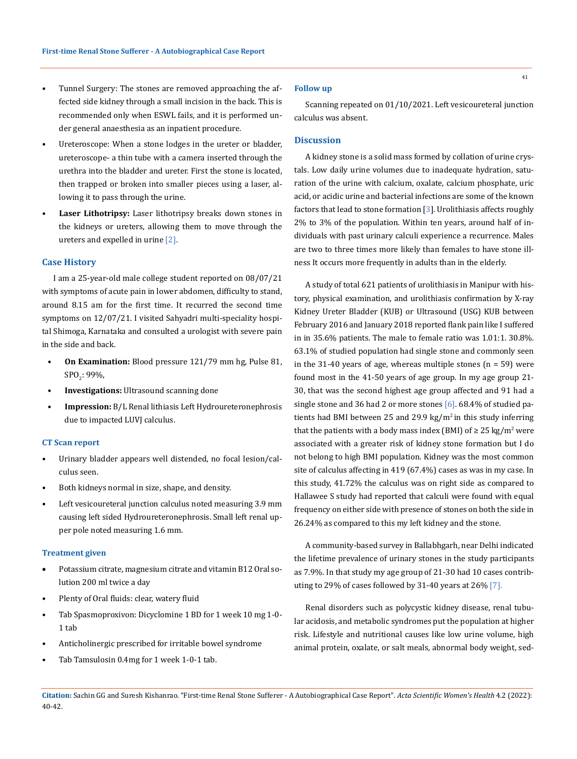- Tunnel Surgery: The stones are removed approaching the affected side kidney through a small incision in the back. This is recommended only when ESWL fails, and it is performed under general anaesthesia as an inpatient procedure.
- Ureteroscope: When a stone lodges in the ureter or bladder, ureteroscope- a thin tube with a camera inserted through the urethra into the bladder and ureter. First the stone is located, then trapped or broken into smaller pieces using a laser, allowing it to pass through the urine.
- Laser Lithotripsy: Laser lithotripsy breaks down stones in the kidneys or ureters, allowing them to move through the ureters and expelled in urine [2].

#### **Case History**

I am a 25-year-old male college student reported on 08/07/21 with symptoms of acute pain in lower abdomen, difficulty to stand, around 8.15 am for the first time. It recurred the second time symptoms on 12/07/21. I visited Sahyadri multi-speciality hospital Shimoga, Karnataka and consulted a urologist with severe pain in the side and back.

- **On Examination:** Blood pressure 121/79 mm hg, Pulse 81, SPO<sub>2</sub>: 99%,
- **Investigations:** Ultrasound scanning done
- **Impression:** B/L Renal lithiasis Left Hydroureteronephrosis due to impacted LUVJ calculus.

### **CT Scan report**

- Urinary bladder appears well distended, no focal lesion/calculus seen.
- Both kidneys normal in size, shape, and density.
- Left vesicoureteral junction calculus noted measuring 3.9 mm causing left sided Hydroureteronephrosis. Small left renal upper pole noted measuring 1.6 mm.

#### **Treatment given**

- Potassium citrate, magnesium citrate and vitamin B12 Oral solution 200 ml twice a day
- Plenty of Oral fluids: clear, watery fluid
- Tab Spasmoproxivon: Dicyclomine 1 BD for 1 week 10 mg 1-0- 1 tab
- Anticholinergic prescribed for irritable bowel syndrome
- Tab Tamsulosin 0.4mg for 1 week 1-0-1 tab.

### **Follow up**

Scanning repeated on 01/10/2021. Left vesicoureteral junction calculus was absent.

## **Discussion**

A kidney stone is a solid mass formed by collation of urine crystals. Low daily urine volumes due to inadequate hydration, saturation of the urine with calcium, oxalate, calcium phosphate, uric acid, or acidic urine and bacterial infections are some of the known factors that lead to stone formation [3]. Urolithiasis affects roughly 2% to 3% of the population. Within ten years, around half of individuals with past urinary calculi experience a recurrence. Males are two to three times more likely than females to have stone illness It occurs more frequently in adults than in the elderly.

A study of total 621 patients of urolithiasis in Manipur with history, physical examination, and urolithiasis confirmation by X-ray Kidney Ureter Bladder (KUB) or Ultrasound (USG) KUB between February 2016 and January 2018 reported flank pain like I suffered in in 35.6% patients. The male to female ratio was 1.01:1. 30.8%. 63.1% of studied population had single stone and commonly seen in the 31-40 years of age, whereas multiple stones  $(n = 59)$  were found most in the 41-50 years of age group. In my age group 21- 30, that was the second highest age group affected and 91 had a single stone and 36 had 2 or more stones [6]. 68.4% of studied patients had BMI between 25 and 29.9 kg/ $m^2$  in this study inferring that the patients with a body mass index (BMI) of  $\geq 25$  kg/m<sup>2</sup> were associated with a greater risk of kidney stone formation but I do not belong to high BMI population. Kidney was the most common site of calculus affecting in 419 (67.4%) cases as was in my case. In this study, 41.72% the calculus was on right side as compared to Hallawee S study had reported that calculi were found with equal frequency on either side with presence of stones on both the side in 26.24% as compared to this my left kidney and the stone.

A community-based survey in Ballabhgarh, near Delhi indicated the lifetime prevalence of urinary stones in the study participants as 7.9%. In that study my age group of 21-30 had 10 cases contributing to 29% of cases followed by 31-40 years at 26% [7].

Renal disorders such as polycystic kidney disease, renal tubular acidosis, and metabolic syndromes put the population at higher risk. Lifestyle and nutritional causes like low urine volume, high animal protein, oxalate, or salt meals, abnormal body weight, sed-

**Citation:** Sachin GG and Suresh Kishanrao*.* "First-time Renal Stone Sufferer - A Autobiographical Case Report". *Acta Scientific Women's Health* 4.2 (2022): 40-42.